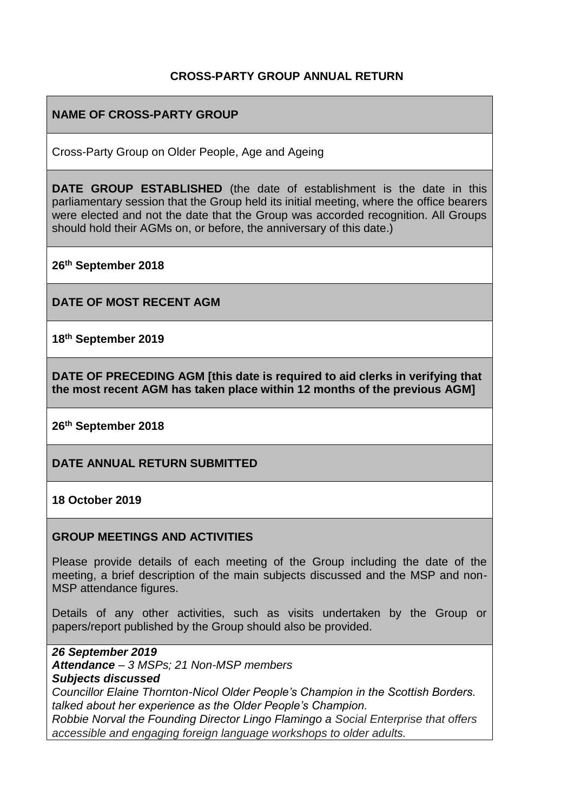### **CROSS-PARTY GROUP ANNUAL RETURN**

## **NAME OF CROSS-PARTY GROUP**

Cross-Party Group on Older People, Age and Ageing

**DATE GROUP ESTABLISHED** (the date of establishment is the date in this parliamentary session that the Group held its initial meeting, where the office bearers were elected and not the date that the Group was accorded recognition. All Groups should hold their AGMs on, or before, the anniversary of this date.)

**26th September 2018**

**DATE OF MOST RECENT AGM**

**18th September 2019**

**DATE OF PRECEDING AGM [this date is required to aid clerks in verifying that the most recent AGM has taken place within 12 months of the previous AGM]**

**26th September 2018**

**DATE ANNUAL RETURN SUBMITTED**

**18 October 2019**

#### **GROUP MEETINGS AND ACTIVITIES**

Please provide details of each meeting of the Group including the date of the meeting, a brief description of the main subjects discussed and the MSP and non-MSP attendance figures.

Details of any other activities, such as visits undertaken by the Group or papers/report published by the Group should also be provided.

*26 September 2019 Attendance – 3 MSPs; 21 Non-MSP members Subjects discussed Councillor Elaine Thornton-Nicol Older People's Champion in the Scottish Borders. talked about her experience as the Older People's Champion. Robbie Norval the Founding Director Lingo Flamingo a Social Enterprise that offers accessible and engaging foreign language workshops to older adults.*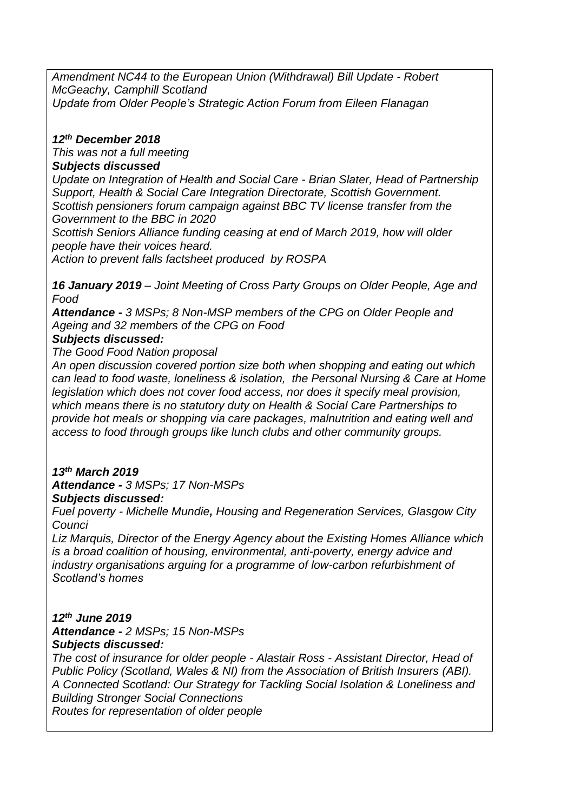*Amendment NC44 to the European Union (Withdrawal) Bill Update - Robert McGeachy, Camphill Scotland Update from Older People's Strategic Action Forum from Eileen Flanagan*

#### *12th December 2018*

*This was not a full meeting*

#### *Subjects discussed*

*Update on Integration of Health and Social Care - Brian Slater, Head of Partnership Support, Health & Social Care Integration Directorate, Scottish Government. Scottish pensioners forum campaign against BBC TV license transfer from the Government to the BBC in 2020*

*Scottish Seniors Alliance funding ceasing at end of March 2019, how will older people have their voices heard.*

*Action to prevent falls factsheet produced by ROSPA*

*16 January 2019 – Joint Meeting of Cross Party Groups on Older People, Age and Food*

*Attendance - 3 MSPs; 8 Non-MSP members of the CPG on Older People and Ageing and 32 members of the CPG on Food*

### *Subjects discussed:*

*The Good Food Nation proposal*

*An open discussion covered portion size both when shopping and eating out which can lead to food waste, loneliness & isolation, the Personal Nursing & Care at Home legislation which does not cover food access, nor does it specify meal provision, which means there is no statutory duty on Health & Social Care Partnerships to provide hot meals or shopping via care packages, malnutrition and eating well and access to food through groups like lunch clubs and other community groups.*

# *13th March 2019*

*Attendance - 3 MSPs; 17 Non-MSPs* 

#### *Subjects discussed:*

*Fuel poverty - Michelle Mundie, Housing and Regeneration Services, Glasgow City Counci*

*Liz Marquis, Director of the Energy Agency about the Existing Homes Alliance which is a broad coalition of housing, environmental, anti-poverty, energy advice and industry organisations arguing for a programme of low-carbon refurbishment of Scotland's homes*

# *12th June 2019*

*Attendance - 2 MSPs; 15 Non-MSPs Subjects discussed:*

*The cost of insurance for older people - Alastair Ross - Assistant Director, Head of Public Policy (Scotland, Wales & NI) from the Association of British Insurers (ABI). A Connected Scotland: Our Strategy for Tackling Social Isolation & Loneliness and Building Stronger Social Connections Routes for representation of older people*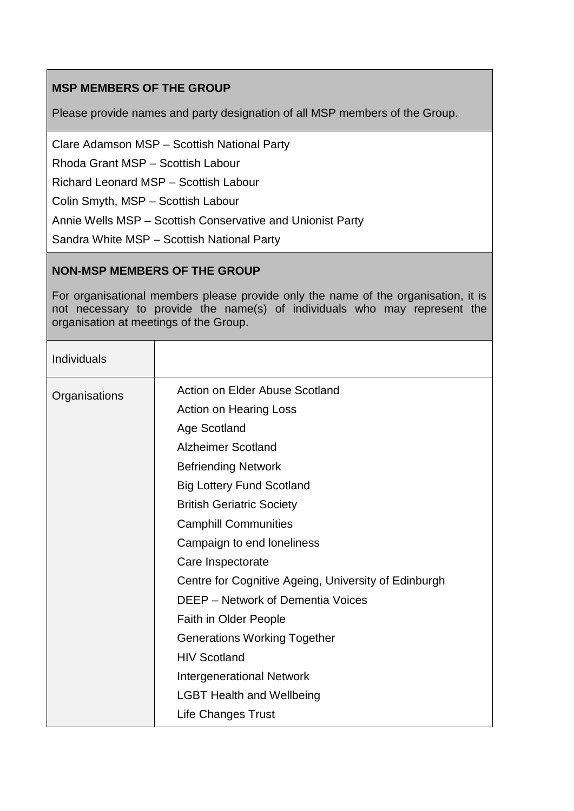# **MSP MEMBERS OF THE GROUP**

Please provide names and party designation of all MSP members of the Group.

Clare Adamson MSP – Scottish National Party

Rhoda Grant MSP – Scottish Labour

Richard Leonard MSP – Scottish Labour

Colin Smyth, MSP – Scottish Labour

Annie Wells MSP – Scottish Conservative and Unionist Party

Sandra White MSP – Scottish National Party

#### **NON-MSP MEMBERS OF THE GROUP**

For organisational members please provide only the name of the organisation, it is not necessary to provide the name(s) of individuals who may represent the organisation at meetings of the Group.

| Individuals   |                                                      |
|---------------|------------------------------------------------------|
| Organisations | Action on Elder Abuse Scotland                       |
|               | <b>Action on Hearing Loss</b>                        |
|               | Age Scotland                                         |
|               | <b>Alzheimer Scotland</b>                            |
|               | <b>Befriending Network</b>                           |
|               | <b>Big Lottery Fund Scotland</b>                     |
|               | <b>British Geriatric Society</b>                     |
|               | <b>Camphill Communities</b>                          |
|               | Campaign to end loneliness                           |
|               | Care Inspectorate                                    |
|               | Centre for Cognitive Ageing, University of Edinburgh |
|               | <b>DEEP</b> – Network of Dementia Voices             |
|               | Faith in Older People                                |
|               | <b>Generations Working Together</b>                  |
|               | <b>HIV Scotland</b>                                  |
|               | <b>Intergenerational Network</b>                     |
|               | <b>LGBT Health and Wellbeing</b>                     |
|               | <b>Life Changes Trust</b>                            |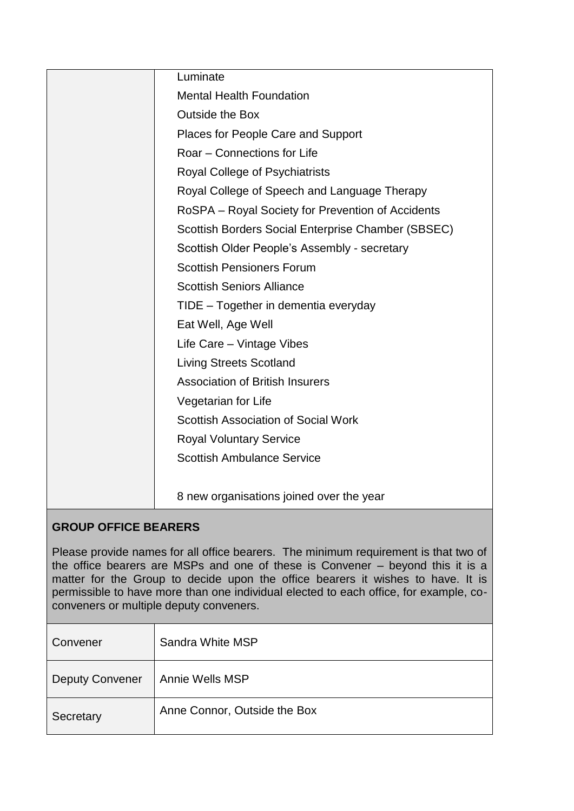| Luminate                                                                           |  |  |
|------------------------------------------------------------------------------------|--|--|
| <b>Mental Health Foundation</b>                                                    |  |  |
| <b>Outside the Box</b>                                                             |  |  |
| Places for People Care and Support                                                 |  |  |
| Roar - Connections for Life                                                        |  |  |
| Royal College of Psychiatrists                                                     |  |  |
| Royal College of Speech and Language Therapy                                       |  |  |
| RoSPA – Royal Society for Prevention of Accidents                                  |  |  |
| Scottish Borders Social Enterprise Chamber (SBSEC)                                 |  |  |
| Scottish Older People's Assembly - secretary                                       |  |  |
| <b>Scottish Pensioners Forum</b>                                                   |  |  |
| <b>Scottish Seniors Alliance</b>                                                   |  |  |
| TIDE - Together in dementia everyday                                               |  |  |
| Eat Well, Age Well                                                                 |  |  |
| Life Care - Vintage Vibes                                                          |  |  |
| <b>Living Streets Scotland</b>                                                     |  |  |
| <b>Association of British Insurers</b>                                             |  |  |
| Vegetarian for Life                                                                |  |  |
| <b>Scottish Association of Social Work</b>                                         |  |  |
| <b>Royal Voluntary Service</b>                                                     |  |  |
| <b>Scottish Ambulance Service</b>                                                  |  |  |
|                                                                                    |  |  |
| 8 new organisations joined over the year                                           |  |  |
| <b>GROUP OFFICE BEARERS</b>                                                        |  |  |
| Place provide names for all office begrere. The minimum requirement is that two of |  |  |

rames for all office bearers. The minimum requirement is that the minimum requirement is that the minimum requirement is that the minimum requirement is that the minimum requirement is that the minimum requirement is that the office bearers are MSPs and one of these is Convener – beyond this it is a matter for the Group to decide upon the office bearers it wishes to have. It is permissible to have more than one individual elected to each office, for example, coconveners or multiple deputy conveners.

| Convener               | Sandra White MSP             |
|------------------------|------------------------------|
| <b>Deputy Convener</b> | Annie Wells MSP              |
| Secretary              | Anne Connor, Outside the Box |